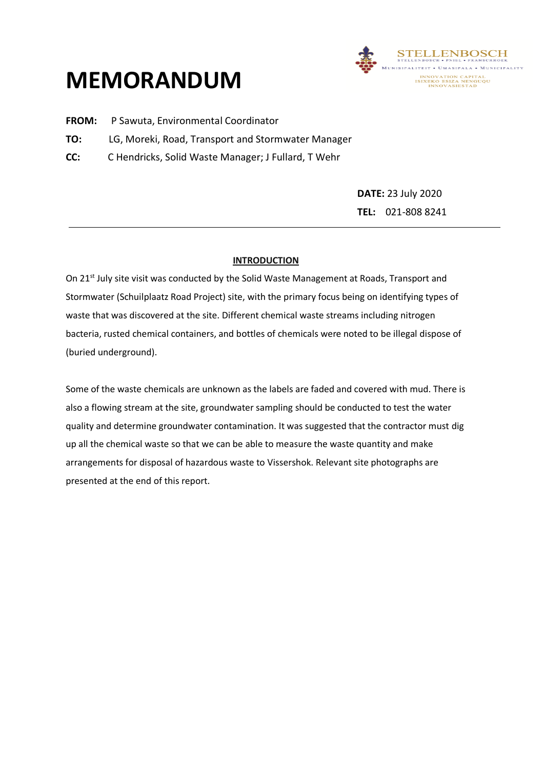## **MEMORANDUM**



- **FROM:** P Sawuta, Environmental Coordinator
- **TO:** LG, Moreki, Road, Transport and Stormwater Manager
- **CC:** C Hendricks, Solid Waste Manager; J Fullard, T Wehr

**DATE:** 23 July 2020 **TEL:** 021-808 8241

## **INTRODUCTION**

On 21<sup>st</sup> July site visit was conducted by the Solid Waste Management at Roads, Transport and Stormwater (Schuilplaatz Road Project) site, with the primary focus being on identifying types of waste that was discovered at the site. Different chemical waste streams including nitrogen bacteria, rusted chemical containers, and bottles of chemicals were noted to be illegal dispose of (buried underground).

Some of the waste chemicals are unknown as the labels are faded and covered with mud. There is also a flowing stream at the site, groundwater sampling should be conducted to test the water quality and determine groundwater contamination. It was suggested that the contractor must dig up all the chemical waste so that we can be able to measure the waste quantity and make arrangements for disposal of hazardous waste to Vissershok. Relevant site photographs are presented at the end of this report.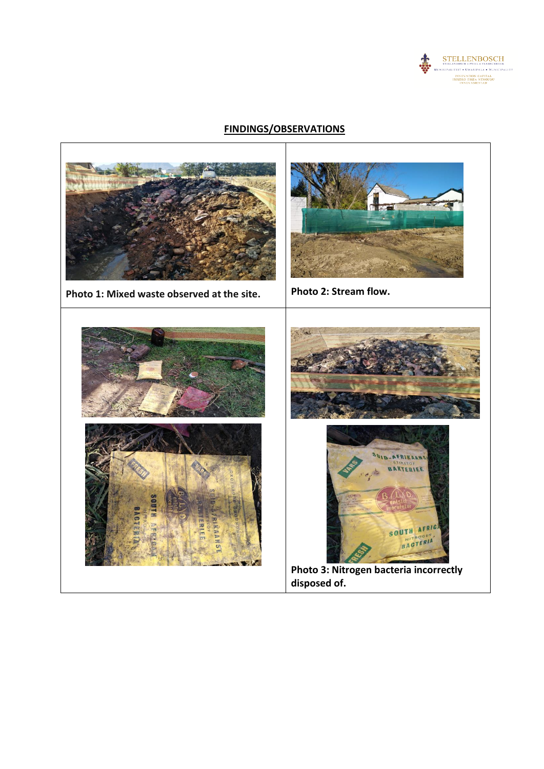

## **FINDINGS/OBSERVATIONS**